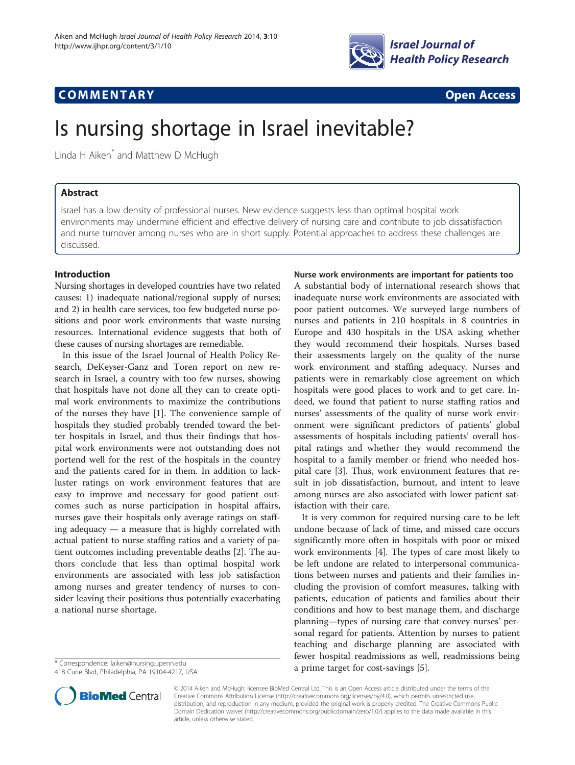

# **COMMENTARY COMMENTARY Open Access**



# Is nursing shortage in Israel inevitable?

Linda H Aiken\* and Matthew D McHugh

# Abstract

Israel has a low density of professional nurses. New evidence suggests less than optimal hospital work environments may undermine efficient and effective delivery of nursing care and contribute to job dissatisfaction and nurse turnover among nurses who are in short supply. Potential approaches to address these challenges are discussed.

# Introduction

Nursing shortages in developed countries have two related causes: 1) inadequate national/regional supply of nurses; and 2) in health care services, too few budgeted nurse positions and poor work environments that waste nursing resources. International evidence suggests that both of these causes of nursing shortages are remediable.

In this issue of the Israel Journal of Health Policy Research, DeKeyser-Ganz and Toren report on new research in Israel, a country with too few nurses, showing that hospitals have not done all they can to create optimal work environments to maximize the contributions of the nurses they have [[1\]](#page-2-0). The convenience sample of hospitals they studied probably trended toward the better hospitals in Israel, and thus their findings that hospital work environments were not outstanding does not portend well for the rest of the hospitals in the country and the patients cared for in them. In addition to lackluster ratings on work environment features that are easy to improve and necessary for good patient outcomes such as nurse participation in hospital affairs, nurses gave their hospitals only average ratings on staffing adequacy — a measure that is highly correlated with actual patient to nurse staffing ratios and a variety of patient outcomes including preventable deaths [[2\]](#page-2-0). The authors conclude that less than optimal hospital work environments are associated with less job satisfaction among nurses and greater tendency of nurses to consider leaving their positions thus potentially exacerbating a national nurse shortage.

418 Curie Blvd, Philadelphia, PA 19104-4217, USA

A substantial body of international research shows that inadequate nurse work environments are associated with poor patient outcomes. We surveyed large numbers of nurses and patients in 210 hospitals in 8 countries in Europe and 430 hospitals in the USA asking whether they would recommend their hospitals. Nurses based their assessments largely on the quality of the nurse work environment and staffing adequacy. Nurses and patients were in remarkably close agreement on which hospitals were good places to work and to get care. Indeed, we found that patient to nurse staffing ratios and nurses' assessments of the quality of nurse work environment were significant predictors of patients' global assessments of hospitals including patients' overall hospital ratings and whether they would recommend the hospital to a family member or friend who needed hospital care [\[3](#page-2-0)]. Thus, work environment features that result in job dissatisfaction, burnout, and intent to leave among nurses are also associated with lower patient satisfaction with their care.

It is very common for required nursing care to be left undone because of lack of time, and missed care occurs significantly more often in hospitals with poor or mixed work environments [[4\]](#page-2-0). The types of care most likely to be left undone are related to interpersonal communications between nurses and patients and their families including the provision of comfort measures, talking with patients, education of patients and families about their conditions and how to best manage them, and discharge planning—types of nursing care that convey nurses' personal regard for patients. Attention by nurses to patient teaching and discharge planning are associated with fewer hospital readmissions as well, readmissions being \* Correspondence: [laiken@nursing.upenn.edu](mailto:laiken@nursing.upenn.edu)<br>
418 Curie Blyd Philadelphia PA 19104-4217 USA<br> **a** prime target for cost-savings [\[5\]](#page-3-0).



© 2014 Aiken and McHugh; licensee BioMed Central Ltd. This is an Open Access article distributed under the terms of the Creative Commons Attribution License (<http://creativecommons.org/licenses/by/4.0>), which permits unrestricted use, distribution, and reproduction in any medium, provided the original work is properly credited. The Creative Commons Public Domain Dedication waiver [\(http://creativecommons.org/publicdomain/zero/1.0/\)](http://creativecommons.org/publicdomain/zero/1.0/) applies to the data made available in this article, unless otherwise stated.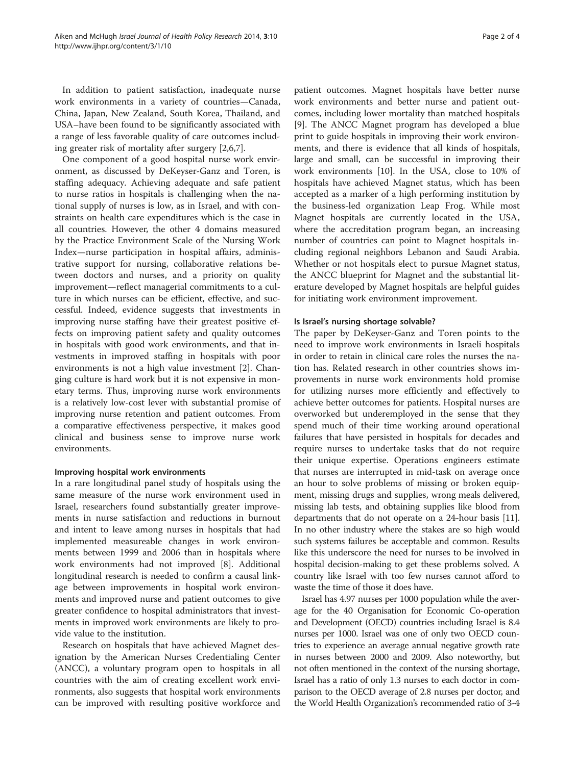In addition to patient satisfaction, inadequate nurse work environments in a variety of countries—Canada, China, Japan, New Zealand, South Korea, Thailand, and USA–have been found to be significantly associated with a range of less favorable quality of care outcomes including greater risk of mortality after surgery [\[2](#page-2-0)[,6,7](#page-3-0)].

One component of a good hospital nurse work environment, as discussed by DeKeyser-Ganz and Toren, is staffing adequacy. Achieving adequate and safe patient to nurse ratios in hospitals is challenging when the national supply of nurses is low, as in Israel, and with constraints on health care expenditures which is the case in all countries. However, the other 4 domains measured by the Practice Environment Scale of the Nursing Work Index—nurse participation in hospital affairs, administrative support for nursing, collaborative relations between doctors and nurses, and a priority on quality improvement—reflect managerial commitments to a culture in which nurses can be efficient, effective, and successful. Indeed, evidence suggests that investments in improving nurse staffing have their greatest positive effects on improving patient safety and quality outcomes in hospitals with good work environments, and that investments in improved staffing in hospitals with poor environments is not a high value investment [\[2](#page-2-0)]. Changing culture is hard work but it is not expensive in monetary terms. Thus, improving nurse work environments is a relatively low-cost lever with substantial promise of improving nurse retention and patient outcomes. From a comparative effectiveness perspective, it makes good clinical and business sense to improve nurse work environments.

In a rare longitudinal panel study of hospitals using the same measure of the nurse work environment used in Israel, researchers found substantially greater improvements in nurse satisfaction and reductions in burnout and intent to leave among nurses in hospitals that had implemented measureable changes in work environments between 1999 and 2006 than in hospitals where work environments had not improved [[8\]](#page-3-0). Additional longitudinal research is needed to confirm a causal linkage between improvements in hospital work environments and improved nurse and patient outcomes to give greater confidence to hospital administrators that investments in improved work environments are likely to provide value to the institution.

Research on hospitals that have achieved Magnet designation by the American Nurses Credentialing Center (ANCC), a voluntary program open to hospitals in all countries with the aim of creating excellent work environments, also suggests that hospital work environments can be improved with resulting positive workforce and

patient outcomes. Magnet hospitals have better nurse work environments and better nurse and patient outcomes, including lower mortality than matched hospitals [[9\]](#page-3-0). The ANCC Magnet program has developed a blue print to guide hospitals in improving their work environments, and there is evidence that all kinds of hospitals, large and small, can be successful in improving their work environments [[10\]](#page-3-0). In the USA, close to 10% of hospitals have achieved Magnet status, which has been accepted as a marker of a high performing institution by the business-led organization Leap Frog. While most Magnet hospitals are currently located in the USA, where the accreditation program began, an increasing number of countries can point to Magnet hospitals including regional neighbors Lebanon and Saudi Arabia. Whether or not hospitals elect to pursue Magnet status, the ANCC blueprint for Magnet and the substantial literature developed by Magnet hospitals are helpful guides for initiating work environment improvement.

## Is Israel's nursing shortage solvable?

The paper by DeKeyser-Ganz and Toren points to the need to improve work environments in Israeli hospitals in order to retain in clinical care roles the nurses the nation has. Related research in other countries shows improvements in nurse work environments hold promise for utilizing nurses more efficiently and effectively to achieve better outcomes for patients. Hospital nurses are overworked but underemployed in the sense that they spend much of their time working around operational failures that have persisted in hospitals for decades and require nurses to undertake tasks that do not require their unique expertise. Operations engineers estimate that nurses are interrupted in mid-task on average once an hour to solve problems of missing or broken equipment, missing drugs and supplies, wrong meals delivered, missing lab tests, and obtaining supplies like blood from departments that do not operate on a 24-hour basis [[11](#page-3-0)]. In no other industry where the stakes are so high would such systems failures be acceptable and common. Results like this underscore the need for nurses to be involved in hospital decision-making to get these problems solved. A country like Israel with too few nurses cannot afford to waste the time of those it does have.

Israel has 4.97 nurses per 1000 population while the average for the 40 Organisation for Economic Co-operation and Development (OECD) countries including Israel is 8.4 nurses per 1000. Israel was one of only two OECD countries to experience an average annual negative growth rate in nurses between 2000 and 2009. Also noteworthy, but not often mentioned in the context of the nursing shortage, Israel has a ratio of only 1.3 nurses to each doctor in comparison to the OECD average of 2.8 nurses per doctor, and the World Health Organization's recommended ratio of 3-4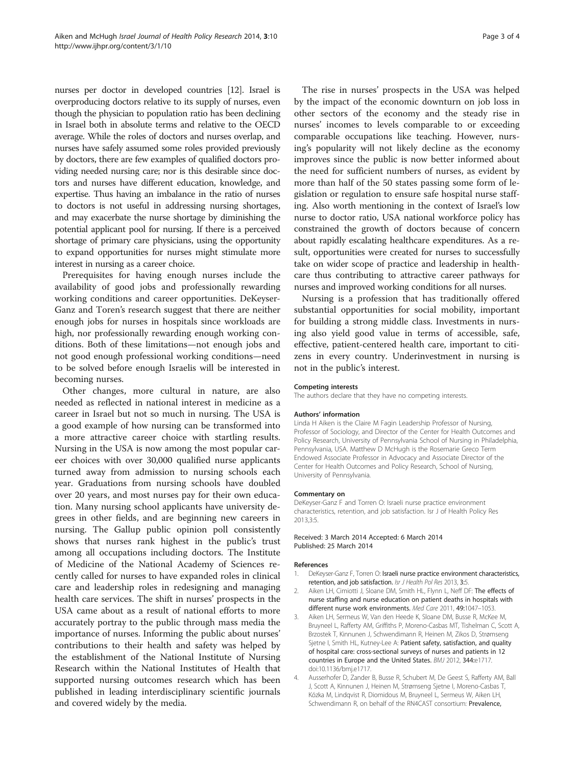<span id="page-2-0"></span>nurses per doctor in developed countries [\[12\]](#page-3-0). Israel is overproducing doctors relative to its supply of nurses, even though the physician to population ratio has been declining in Israel both in absolute terms and relative to the OECD average. While the roles of doctors and nurses overlap, and nurses have safely assumed some roles provided previously by doctors, there are few examples of qualified doctors providing needed nursing care; nor is this desirable since doctors and nurses have different education, knowledge, and expertise. Thus having an imbalance in the ratio of nurses to doctors is not useful in addressing nursing shortages, and may exacerbate the nurse shortage by diminishing the potential applicant pool for nursing. If there is a perceived shortage of primary care physicians, using the opportunity to expand opportunities for nurses might stimulate more interest in nursing as a career choice.

Prerequisites for having enough nurses include the availability of good jobs and professionally rewarding working conditions and career opportunities. DeKeyser-Ganz and Toren's research suggest that there are neither enough jobs for nurses in hospitals since workloads are high, nor professionally rewarding enough working conditions. Both of these limitations—not enough jobs and not good enough professional working conditions—need to be solved before enough Israelis will be interested in becoming nurses.

Other changes, more cultural in nature, are also needed as reflected in national interest in medicine as a career in Israel but not so much in nursing. The USA is a good example of how nursing can be transformed into a more attractive career choice with startling results. Nursing in the USA is now among the most popular career choices with over 30,000 qualified nurse applicants turned away from admission to nursing schools each year. Graduations from nursing schools have doubled over 20 years, and most nurses pay for their own education. Many nursing school applicants have university degrees in other fields, and are beginning new careers in nursing. The Gallup public opinion poll consistently shows that nurses rank highest in the public's trust among all occupations including doctors. The Institute of Medicine of the National Academy of Sciences recently called for nurses to have expanded roles in clinical care and leadership roles in redesigning and managing health care services. The shift in nurses' prospects in the USA came about as a result of national efforts to more accurately portray to the public through mass media the importance of nurses. Informing the public about nurses' contributions to their health and safety was helped by the establishment of the National Institute of Nursing Research within the National Institutes of Health that supported nursing outcomes research which has been published in leading interdisciplinary scientific journals and covered widely by the media.

The rise in nurses' prospects in the USA was helped by the impact of the economic downturn on job loss in other sectors of the economy and the steady rise in nurses' incomes to levels comparable to or exceeding comparable occupations like teaching. However, nursing's popularity will not likely decline as the economy improves since the public is now better informed about the need for sufficient numbers of nurses, as evident by more than half of the 50 states passing some form of legislation or regulation to ensure safe hospital nurse staffing. Also worth mentioning in the context of Israel's low nurse to doctor ratio, USA national workforce policy has constrained the growth of doctors because of concern about rapidly escalating healthcare expenditures. As a result, opportunities were created for nurses to successfully take on wider scope of practice and leadership in healthcare thus contributing to attractive career pathways for nurses and improved working conditions for all nurses.

Nursing is a profession that has traditionally offered substantial opportunities for social mobility, important for building a strong middle class. Investments in nursing also yield good value in terms of accessible, safe, effective, patient-centered health care, important to citizens in every country. Underinvestment in nursing is not in the public's interest.

The authors declare that they have no competing interests.

### Authors' information

Linda H Aiken is the Claire M Fagin Leadership Professor of Nursing, Professor of Sociology, and Director of the Center for Health Outcomes and Policy Research, University of Pennsylvania School of Nursing in Philadelphia, Pennsylvania, USA. Matthew D McHugh is the Rosemarie Greco Term Endowed Associate Professor in Advocacy and Associate Director of the Center for Health Outcomes and Policy Research, School of Nursing, University of Pennsylvania.

DeKeyser-Ganz F and Torren O: Israeli nurse practice environment characteristics, retention, and job satisfaction. Isr J of Health Policy Res 2013,3:5.

### Received: 3 March 2014 Accepted: 6 March 2014 Published: 25 March 2014

- 1. DeKeyser-Ganz F, Torren O: Israeli nurse practice environment characteristics, retention, and job satisfaction. Isr J Health Pol Res 2013, 3:5.
- 2. Aiken LH, Cimiotti J, Sloane DM, Smith HL, Flynn L, Neff DF: The effects of nurse staffing and nurse education on patient deaths in hospitals with different nurse work environments. Med Care 2011, 49:1047–1053.
- 3. Aiken LH, Sermeus W, Van den Heede K, Sloane DM, Busse R, McKee M, Bruyneel L, Rafferty AM, Griffiths P, Moreno-Casbas MT, Tishelman C, Scott A, Brzostek T, Kinnunen J, Schwendimann R, Heinen M, Zikos D, Strømseng Sjetne I, Smith HL, Kutney-Lee A: Patient safety, satisfaction, and quality of hospital care: cross-sectional surveys of nurses and patients in 12 countries in Europe and the United States. BMJ 2012, 344:e1717. doi:10.1136/bmj.e1717.
- 4. Ausserhofer D, Zander B, Busse R, Schubert M, De Geest S, Rafferty AM, Ball J, Scott A, Kinnunen J, Heinen M, Strømseng Sjetne I, Moreno-Casbas T, Kózka M, Lindqvist R, Diomidous M, Bruyneel L, Sermeus W, Aiken LH, Schwendimann R, on behalf of the RN4CAST consortium: Prevalence,